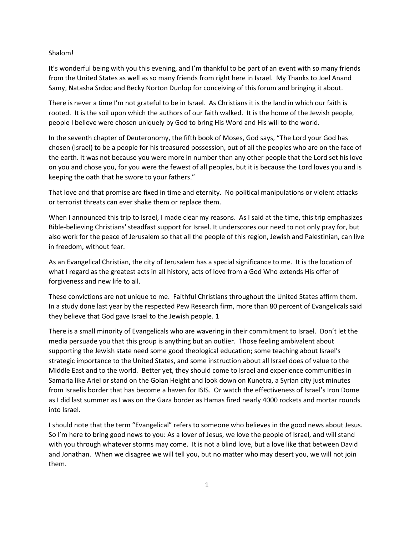## Shalom!

It's wonderful being with you this evening, and I'm thankful to be part of an event with so many friends from the United States as well as so many friends from right here in Israel. My Thanks to Joel Anand Samy, Natasha Srdoc and Becky Norton Dunlop for conceiving of this forum and bringing it about.

There is never a time I'm not grateful to be in Israel. As Christians it is the land in which our faith is rooted. It is the soil upon which the authors of our faith walked. It is the home of the Jewish people, people I believe were chosen uniquely by God to bring His Word and His will to the world.

In the seventh chapter of Deuteronomy, the fifth book of Moses, God says, "The Lord your God has chosen (Israel) to be a people for his treasured possession, out of all the peoples who are on the face of the earth. It was not because you were more in number than any other people that the Lord set his love on you and chose you, for you were the fewest of all peoples, but it is because the Lord loves you and is keeping the oath that he swore to your fathers."

That love and that promise are fixed in time and eternity. No political manipulations or violent attacks or terrorist threats can ever shake them or replace them.

When I announced this trip to Israel, I made clear my reasons. As I said at the time, this trip emphasizes Bible-believing Christians' steadfast support for Israel. It underscores our need to not only pray for, but also work for the peace of Jerusalem so that all the people of this region, Jewish and Palestinian, can live in freedom, without fear.

As an Evangelical Christian, the city of Jerusalem has a special significance to me. It is the location of what I regard as the greatest acts in all history, acts of love from a God Who extends His offer of forgiveness and new life to all.

These convictions are not unique to me. Faithful Christians throughout the United States affirm them. In a study done last year by the respected Pew Research firm, more than 80 percent of Evangelicals said they believe that God gave Israel to the Jewish people. **1**

There is a small minority of Evangelicals who are wavering in their commitment to Israel. Don't let the media persuade you that this group is anything but an outlier. Those feeling ambivalent about supporting the Jewish state need some good theological education; some teaching about Israel's strategic importance to the United States, and some instruction about all Israel does of value to the Middle East and to the world. Better yet, they should come to Israel and experience communities in Samaria like Ariel or stand on the Golan Height and look down on Kunetra, a Syrian city just minutes from Israelis border that has become a haven for ISIS. Or watch the effectiveness of Israel's Iron Dome as I did last summer as I was on the Gaza border as Hamas fired nearly 4000 rockets and mortar rounds into Israel.

I should note that the term "Evangelical" refers to someone who believes in the good news about Jesus. So I'm here to bring good news to you: As a lover of Jesus, we love the people of Israel, and will stand with you through whatever storms may come. It is not a blind love, but a love like that between David and Jonathan. When we disagree we will tell you, but no matter who may desert you, we will not join them.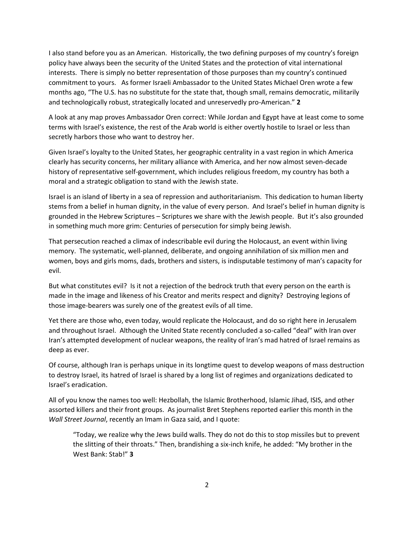I also stand before you as an American. Historically, the two defining purposes of my country's foreign policy have always been the security of the United States and the protection of vital international interests. There is simply no better representation of those purposes than my country's continued commitment to yours. As former Israeli Ambassador to the United States Michael Oren wrote a few months ago, "The U.S. has no substitute for the state that, though small, remains democratic, militarily and technologically robust, strategically located and unreservedly pro-American." **2**

A look at any map proves Ambassador Oren correct: While Jordan and Egypt have at least come to some terms with Israel's existence, the rest of the Arab world is either overtly hostile to Israel or less than secretly harbors those who want to destroy her.

Given Israel's loyalty to the United States, her geographic centrality in a vast region in which America clearly has security concerns, her military alliance with America, and her now almost seven-decade history of representative self-government, which includes religious freedom, my country has both a moral and a strategic obligation to stand with the Jewish state.

Israel is an island of liberty in a sea of repression and authoritarianism. This dedication to human liberty stems from a belief in human dignity, in the value of every person. And Israel's belief in human dignity is grounded in the Hebrew Scriptures – Scriptures we share with the Jewish people. But it's also grounded in something much more grim: Centuries of persecution for simply being Jewish.

That persecution reached a climax of indescribable evil during the Holocaust, an event within living memory. The systematic, well-planned, deliberate, and ongoing annihilation of six million men and women, boys and girls moms, dads, brothers and sisters, is indisputable testimony of man's capacity for evil.

But what constitutes evil? Is it not a rejection of the bedrock truth that every person on the earth is made in the image and likeness of his Creator and merits respect and dignity? Destroying legions of those image-bearers was surely one of the greatest evils of all time.

Yet there are those who, even today, would replicate the Holocaust, and do so right here in Jerusalem and throughout Israel. Although the United State recently concluded a so-called "deal" with Iran over Iran's attempted development of nuclear weapons, the reality of Iran's mad hatred of Israel remains as deep as ever.

Of course, although Iran is perhaps unique in its longtime quest to develop weapons of mass destruction to destroy Israel, its hatred of Israel is shared by a long list of regimes and organizations dedicated to Israel's eradication.

All of you know the names too well: Hezbollah, the Islamic Brotherhood, Islamic Jihad, ISIS, and other assorted killers and their front groups. As journalist Bret Stephens reported earlier this month in the *Wall Street Journal*, recently an Imam in Gaza said, and I quote:

"Today, we realize why the Jews build walls. They do not do this to stop missiles but to prevent the slitting of their throats." Then, brandishing a six-inch knife, he added: "My brother in the West Bank: Stab!" **3**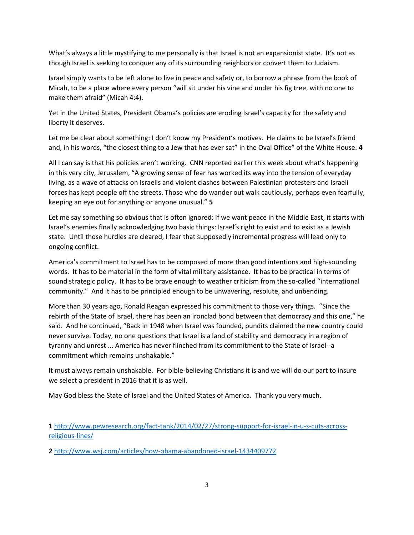What's always a little mystifying to me personally is that Israel is not an expansionist state. It's not as though Israel is seeking to conquer any of its surrounding neighbors or convert them to Judaism.

Israel simply wants to be left alone to live in peace and safety or, to borrow a phrase from the book of Micah, to be a place where every person "will sit under his vine and under his fig tree, with no one to make them afraid" (Micah 4:4).

Yet in the United States, President Obama's policies are eroding Israel's capacity for the safety and liberty it deserves.

Let me be clear about something: I don't know my President's motives. He claims to be Israel's friend and, in his words, "the closest thing to a Jew that has ever sat" in the Oval Office" of the White House. **4**

All I can say is that his policies aren't working. CNN reported earlier this week about what's happening in this very city, Jerusalem, "A growing sense of fear has worked its way into the tension of everyday living, as a wave of attacks on Israelis and violent clashes between Palestinian protesters and Israeli forces has kept people off the streets. Those who do wander out walk cautiously, perhaps even fearfully, keeping an eye out for anything or anyone unusual." **5**

Let me say something so obvious that is often ignored: If we want peace in the Middle East, it starts with Israel's enemies finally acknowledging two basic things: Israel's right to exist and to exist as a Jewish state. Until those hurdles are cleared, I fear that supposedly incremental progress will lead only to ongoing conflict.

America's commitment to Israel has to be composed of more than good intentions and high-sounding words. It has to be material in the form of vital military assistance. It has to be practical in terms of sound strategic policy. It has to be brave enough to weather criticism from the so-called "international community." And it has to be principled enough to be unwavering, resolute, and unbending.

More than 30 years ago, Ronald Reagan expressed his commitment to those very things. "Since the rebirth of the State of Israel, there has been an ironclad bond between that democracy and this one," he said. And he continued, "Back in 1948 when Israel was founded, pundits claimed the new country could never survive. Today, no one questions that Israel is a land of stability and democracy in a region of tyranny and unrest ... America has never flinched from its commitment to the State of Israel--a commitment which remains unshakable."

It must always remain unshakable. For bible-believing Christians it is and we will do our part to insure we select a president in 2016 that it is as well.

May God bless the State of Israel and the United States of America. Thank you very much.

**1** [http://www.pewresearch.org/fact-tank/2014/02/27/strong-support-for-israel-in-u-s-cuts-across](http://www.pewresearch.org/fact-tank/2014/02/27/strong-support-for-israel-in-u-s-cuts-across-religious-lines/)[religious-lines/](http://www.pewresearch.org/fact-tank/2014/02/27/strong-support-for-israel-in-u-s-cuts-across-religious-lines/)

**2** <http://www.wsj.com/articles/how-obama-abandoned-israel-1434409772>